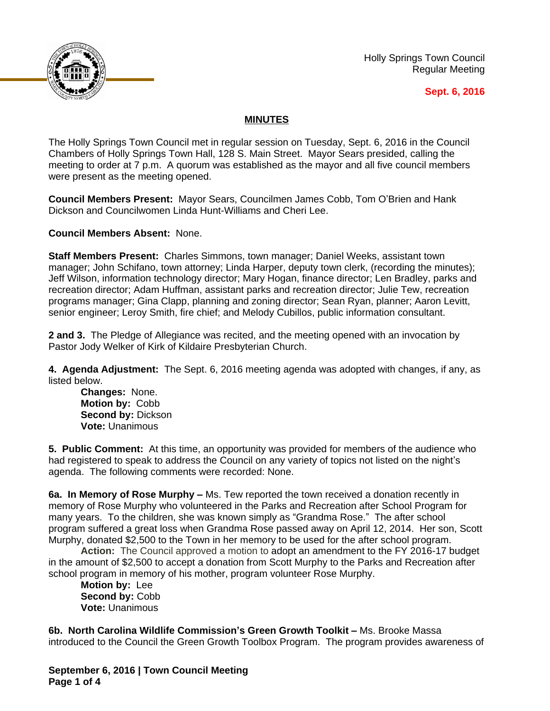

Holly Springs Town Council Regular Meeting

## **Sept. 6, 2016**

## **MINUTES**

The Holly Springs Town Council met in regular session on Tuesday, Sept. 6, 2016 in the Council Chambers of Holly Springs Town Hall, 128 S. Main Street. Mayor Sears presided, calling the meeting to order at 7 p.m. A quorum was established as the mayor and all five council members were present as the meeting opened.

**Council Members Present:** Mayor Sears, Councilmen James Cobb, Tom O'Brien and Hank Dickson and Councilwomen Linda Hunt-Williams and Cheri Lee.

**Council Members Absent:** None.

**Staff Members Present:** Charles Simmons, town manager; Daniel Weeks, assistant town manager; John Schifano, town attorney; Linda Harper, deputy town clerk, (recording the minutes); Jeff Wilson, information technology director; Mary Hogan, finance director; Len Bradley, parks and recreation director; Adam Huffman, assistant parks and recreation director; Julie Tew, recreation programs manager; Gina Clapp, planning and zoning director; Sean Ryan, planner; Aaron Levitt, senior engineer; Leroy Smith, fire chief; and Melody Cubillos, public information consultant.

**2 and 3.** The Pledge of Allegiance was recited, and the meeting opened with an invocation by Pastor Jody Welker of Kirk of Kildaire Presbyterian Church.

**4. Agenda Adjustment:** The Sept. 6, 2016 meeting agenda was adopted with changes, if any, as listed below.

**Changes:** None. **Motion by:** Cobb **Second by:** Dickson **Vote:** Unanimous

**5. Public Comment:** At this time, an opportunity was provided for members of the audience who had registered to speak to address the Council on any variety of topics not listed on the night's agenda. The following comments were recorded: None.

**6a. In Memory of Rose Murphy –** Ms. Tew reported the town received a donation recently in memory of Rose Murphy who volunteered in the Parks and Recreation after School Program for many years. To the children, she was known simply as "Grandma Rose." The after school program suffered a great loss when Grandma Rose passed away on April 12, 2014. Her son, Scott Murphy, donated \$2,500 to the Town in her memory to be used for the after school program.

**Action:** The Council approved a motion to adopt an amendment to the FY 2016-17 budget in the amount of \$2,500 to accept a donation from Scott Murphy to the Parks and Recreation after school program in memory of his mother, program volunteer Rose Murphy.

**Motion by:** Lee **Second by:** Cobb **Vote:** Unanimous

**6b. North Carolina Wildlife Commission's Green Growth Toolkit –** Ms. Brooke Massa introduced to the Council the Green Growth Toolbox Program. The program provides awareness of

**September 6, 2016 | Town Council Meeting Page 1 of 4**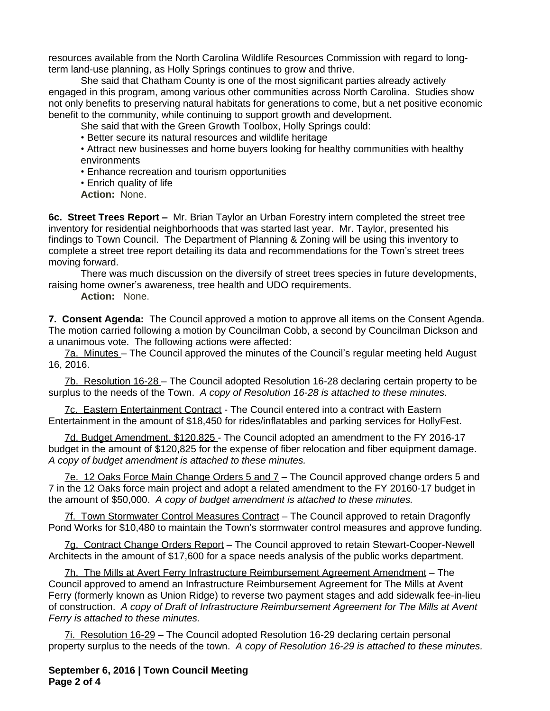resources available from the North Carolina Wildlife Resources Commission with regard to longterm land-use planning, as Holly Springs continues to grow and thrive.

She said that Chatham County is one of the most significant parties already actively engaged in this program, among various other communities across North Carolina. Studies show not only benefits to preserving natural habitats for generations to come, but a net positive economic benefit to the community, while continuing to support growth and development.

She said that with the Green Growth Toolbox, Holly Springs could:

• Better secure its natural resources and wildlife heritage

• Attract new businesses and home buyers looking for healthy communities with healthy environments

• Enhance recreation and tourism opportunities

• Enrich quality of life

**Action:** None.

**6c. Street Trees Report -** Mr. Brian Taylor an Urban Forestry intern completed the street tree inventory for residential neighborhoods that was started last year. Mr. Taylor, presented his findings to Town Council. The Department of Planning & Zoning will be using this inventory to complete a street tree report detailing its data and recommendations for the Town's street trees moving forward.

There was much discussion on the diversify of street trees species in future developments, raising home owner's awareness, tree health and UDO requirements.

**Action:** None.

**7. Consent Agenda:** The Council approved a motion to approve all items on the Consent Agenda. The motion carried following a motion by Councilman Cobb, a second by Councilman Dickson and a unanimous vote. The following actions were affected:

7a. Minutes – The Council approved the minutes of the Council's regular meeting held August 16, 2016.

7b. Resolution 16-28 – The Council adopted Resolution 16-28 declaring certain property to be surplus to the needs of the Town.*A copy of Resolution 16-28 is attached to these minutes.*

7c. Eastern Entertainment Contract - The Council entered into a contract with Eastern Entertainment in the amount of \$18,450 for rides/inflatables and parking services for HollyFest.

7d. Budget Amendment, \$120,825 - The Council adopted an amendment to the FY 2016-17 budget in the amount of \$120,825 for the expense of fiber relocation and fiber equipment damage. *A copy of budget amendment is attached to these minutes.*

7e. 12 Oaks Force Main Change Orders 5 and 7 – The Council approved change orders 5 and 7 in the 12 Oaks force main project and adopt a related amendment to the FY 20160-17 budget in the amount of \$50,000. *A copy of budget amendment is attached to these minutes.*

7f. Town Stormwater Control Measures Contract – The Council approved to retain Dragonfly Pond Works for \$10,480 to maintain the Town's stormwater control measures and approve funding.

7g. Contract Change Orders Report - The Council approved to retain Stewart-Cooper-Newell Architects in the amount of \$17,600 for a space needs analysis of the public works department.

7h. The Mills at Avert Ferry Infrastructure Reimbursement Agreement Amendment – The Council approved to amend an Infrastructure Reimbursement Agreement for The Mills at Avent Ferry (formerly known as Union Ridge) to reverse two payment stages and add sidewalk fee-in-lieu of construction.*A copy of Draft of Infrastructure Reimbursement Agreement for The Mills at Avent Ferry is attached to these minutes.*

7i. Resolution 16-29 – The Council adopted Resolution 16-29 declaring certain personal property surplus to the needs of the town.*A copy of Resolution 16-29 is attached to these minutes.*

**September 6, 2016 | Town Council Meeting Page 2 of 4**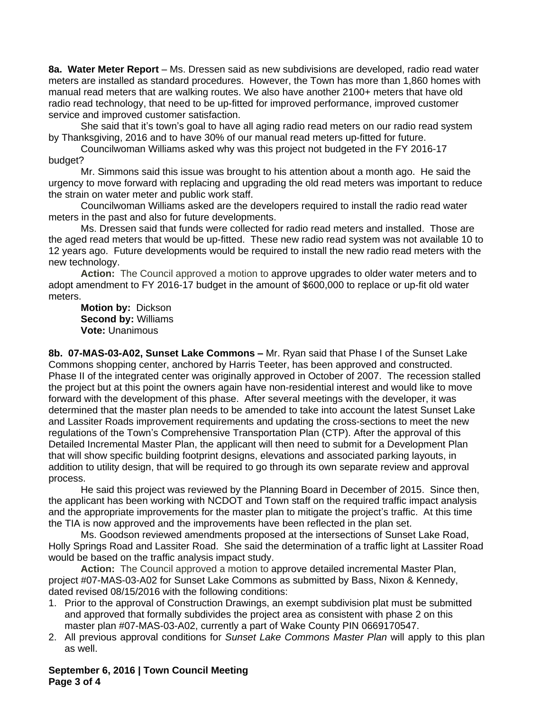**8a. Water Meter Report** – Ms. Dressen said as new subdivisions are developed, radio read water meters are installed as standard procedures. However, the Town has more than 1,860 homes with manual read meters that are walking routes. We also have another 2100+ meters that have old radio read technology, that need to be up-fitted for improved performance, improved customer service and improved customer satisfaction.

She said that it's town's goal to have all aging radio read meters on our radio read system by Thanksgiving, 2016 and to have 30% of our manual read meters up-fitted for future.

Councilwoman Williams asked why was this project not budgeted in the FY 2016-17 budget?

Mr. Simmons said this issue was brought to his attention about a month ago. He said the urgency to move forward with replacing and upgrading the old read meters was important to reduce the strain on water meter and public work staff.

Councilwoman Williams asked are the developers required to install the radio read water meters in the past and also for future developments.

Ms. Dressen said that funds were collected for radio read meters and installed. Those are the aged read meters that would be up-fitted. These new radio read system was not available 10 to 12 years ago. Future developments would be required to install the new radio read meters with the new technology.

**Action:** The Council approved a motion to approve upgrades to older water meters and to adopt amendment to FY 2016-17 budget in the amount of \$600,000 to replace or up-fit old water meters.

**Motion by:** Dickson **Second by:** Williams **Vote:** Unanimous

**8b. 07-MAS-03-A02, Sunset Lake Commons –** Mr. Ryan said that Phase I of the Sunset Lake Commons shopping center, anchored by Harris Teeter, has been approved and constructed. Phase II of the integrated center was originally approved in October of 2007. The recession stalled the project but at this point the owners again have non-residential interest and would like to move forward with the development of this phase. After several meetings with the developer, it was determined that the master plan needs to be amended to take into account the latest Sunset Lake and Lassiter Roads improvement requirements and updating the cross-sections to meet the new regulations of the Town's Comprehensive Transportation Plan (CTP). After the approval of this Detailed Incremental Master Plan, the applicant will then need to submit for a Development Plan that will show specific building footprint designs, elevations and associated parking layouts, in addition to utility design, that will be required to go through its own separate review and approval process.

He said this project was reviewed by the Planning Board in December of 2015. Since then, the applicant has been working with NCDOT and Town staff on the required traffic impact analysis and the appropriate improvements for the master plan to mitigate the project's traffic. At this time the TIA is now approved and the improvements have been reflected in the plan set.

Ms. Goodson reviewed amendments proposed at the intersections of Sunset Lake Road, Holly Springs Road and Lassiter Road. She said the determination of a traffic light at Lassiter Road would be based on the traffic analysis impact study.

**Action:** The Council approved a motion to approve detailed incremental Master Plan, project #07-MAS-03-A02 for Sunset Lake Commons as submitted by Bass, Nixon & Kennedy, dated revised 08/15/2016 with the following conditions:

- 1. Prior to the approval of Construction Drawings, an exempt subdivision plat must be submitted and approved that formally subdivides the project area as consistent with phase 2 on this master plan #07-MAS-03-A02, currently a part of Wake County PIN 0669170547.
- 2. All previous approval conditions for *Sunset Lake Commons Master Plan* will apply to this plan as well.

**September 6, 2016 | Town Council Meeting Page 3 of 4**